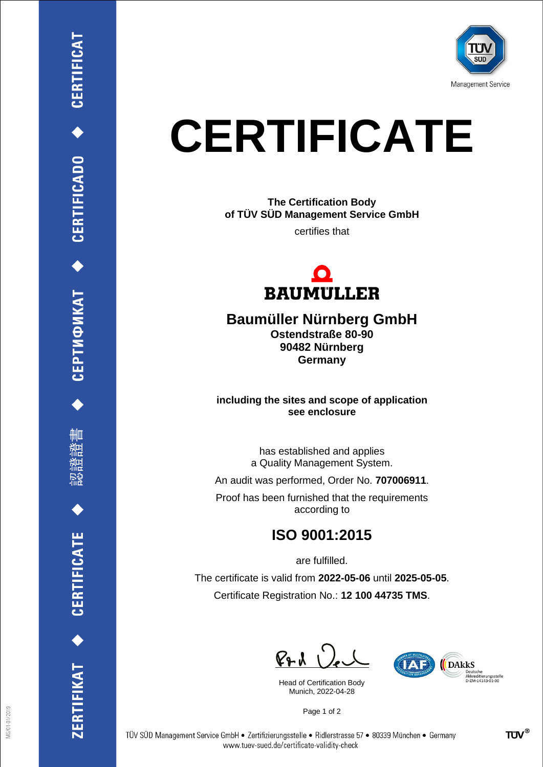

## **CERTIFICATE**

**The Certification Body of TÜV SÜD Management Service GmbH**

certifies that



## **Baumüller Nürnberg GmbH**

**Ostendstraße 80-90 90482 Nürnberg Germany**

**including the sites and scope of application see enclosure**

> has established and applies a Quality Management System.

An audit was performed, Order No. **707006911**.

Proof has been furnished that the requirements according to

## **ISO 9001:2015**

are fulfilled.

The certificate is valid from **2022-05-06** until **2025-05-05**. Certificate Registration No.: **12 100 44735 TMS**.

 $P + \lambda$ 

Head of Certification Body Munich, 2022-04-28



Page 1 of 2

CEPTИФИКАТ ◆ CERTIFICADO ◆ CERTIFICAT

ĦШ

**CERTIFICATE** 

ERTIFIKAT<sup>+</sup>